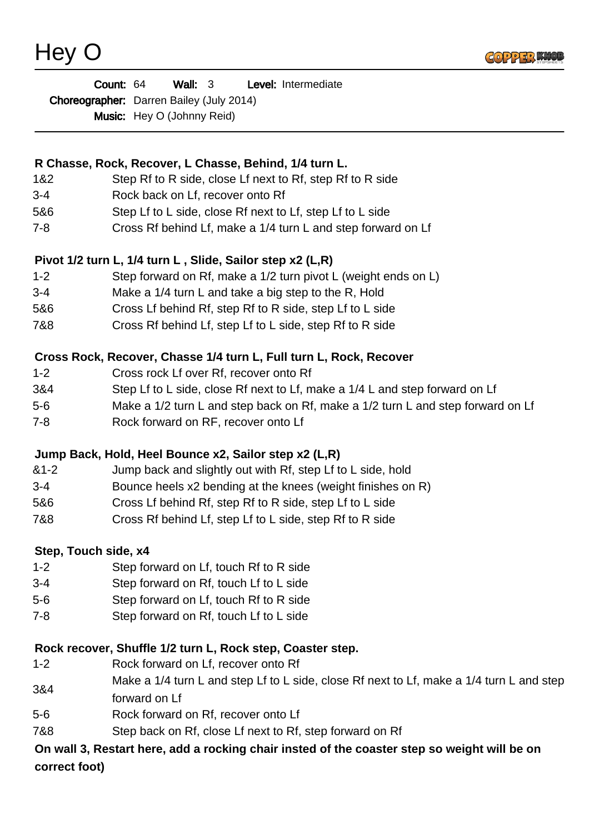Hey O



| <b>Count: 64</b>                                | Wall: $3$ |  | Level: Intermediate |
|-------------------------------------------------|-----------|--|---------------------|
| <b>Choreographer:</b> Darren Bailey (July 2014) |           |  |                     |
| <b>Music:</b> Hey O (Johnny Reid)               |           |  |                     |

## **R Chasse, Rock, Recover, L Chasse, Behind, 1/4 turn L.**

- 1&2 Step Rf to R side, close Lf next to Rf, step Rf to R side
- 3-4 Rock back on Lf, recover onto Rf
- 5&6 Step Lf to L side, close Rf next to Lf, step Lf to L side
- 7-8 Cross Rf behind Lf, make a 1/4 turn L and step forward on Lf

# **Pivot 1/2 turn L, 1/4 turn L , Slide, Sailor step x2 (L,R)**

- 1-2 Step forward on Rf, make a 1/2 turn pivot L (weight ends on L)
- 3-4 Make a 1/4 turn L and take a big step to the R, Hold
- 5&6 Cross Lf behind Rf, step Rf to R side, step Lf to L side
- 7&8 Cross Rf behind Lf, step Lf to L side, step Rf to R side

## **Cross Rock, Recover, Chasse 1/4 turn L, Full turn L, Rock, Recover**

- 1-2 Cross rock Lf over Rf, recover onto Rf
- 3&4 Step Lf to L side, close Rf next to Lf, make a 1/4 L and step forward on Lf
- 5-6 Make a 1/2 turn L and step back on Rf, make a 1/2 turn L and step forward on Lf
- 7-8 Rock forward on RF, recover onto Lf

#### **Jump Back, Hold, Heel Bounce x2, Sailor step x2 (L,R)**

- &1-2 Jump back and slightly out with Rf, step Lf to L side, hold
- 3-4 Bounce heels x2 bending at the knees (weight finishes on R)
- 5&6 Cross Lf behind Rf, step Rf to R side, step Lf to L side
- 7&8 Cross Rf behind Lf, step Lf to L side, step Rf to R side

#### **Step, Touch side, x4**

- 1-2 Step forward on Lf, touch Rf to R side
- 3-4 Step forward on Rf, touch Lf to L side
- 5-6 Step forward on Lf, touch Rf to R side
- 7-8 Step forward on Rf, touch Lf to L side

#### **Rock recover, Shuffle 1/2 turn L, Rock step, Coaster step.**

- 1-2 Rock forward on Lf, recover onto Rf
- 3&4 Make a 1/4 turn L and step Lf to L side, close Rf next to Lf, make a 1/4 turn L and step forward on Lf
- 5-6 Rock forward on Rf, recover onto Lf
- 7&8 Step back on Rf, close Lf next to Rf, step forward on Rf

## **On wall 3, Restart here, add a rocking chair insted of the coaster step so weight will be on correct foot)**